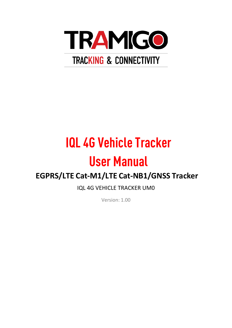

# **IQL 4G Vehicle Tracker**

# **User Manual**

# **EGPRS/LTE Cat-M1/LTE Cat-NB1/GNSS Tracker**

IQL 4G VEHICLE TRACKER UM0

Version: 1.00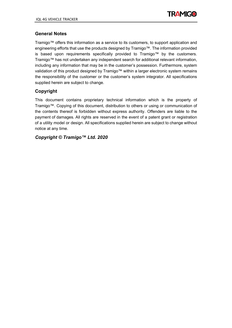

#### **General Notes**

Tramigo™ offers this information as a service to its customers, to support application and engineering efforts that use the products designed by Tramigo™. The information provided is based upon requirements specifically provided to Tramigo™ by the customers. Tramigo™ has not undertaken any independent search for additional relevant information, including any information that may be in the customer's possession. Furthermore, system validation of this product designed by Tramigo™ within a larger electronic system remains the responsibility of the customer or the customer's system integrator. All specifications supplied herein are subject to change.

#### **Copyright**

This document contains proprietary technical information which is the property of Tramigo™. Copying of this document, distribution to others or using or communication of the contents thereof is forbidden without express authority. Offenders are liable to the payment of damages. All rights are reserved in the event of a patent grant or registration of a utility model or design. All specifications supplied herein are subject to change without notice at any time.

#### *Copyright © Tramigo™ Ltd. 2020*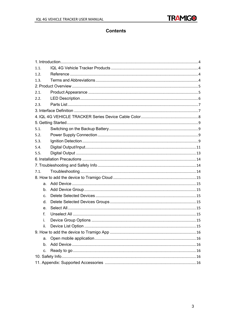

#### **Contents**

| 1.1. |  |  |
|------|--|--|
| 1.2. |  |  |
| 1.3. |  |  |
|      |  |  |
| 2.1. |  |  |
| 2.2. |  |  |
| 2.3. |  |  |
|      |  |  |
|      |  |  |
|      |  |  |
| 5.1. |  |  |
| 5.2. |  |  |
| 5.3. |  |  |
| 5.4. |  |  |
| 5.5. |  |  |
|      |  |  |
|      |  |  |
| 7.1. |  |  |
|      |  |  |
| a.   |  |  |
| b.   |  |  |
| C.   |  |  |
| d.   |  |  |
| e.   |  |  |
| f.   |  |  |
| i.   |  |  |
| ii.  |  |  |
|      |  |  |
| a.   |  |  |
| b.   |  |  |
| с.   |  |  |
|      |  |  |
|      |  |  |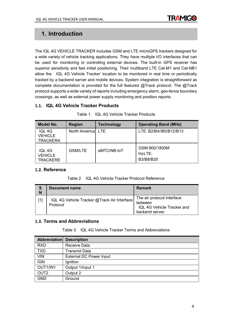

### **1. Introduction**

The IQL 4G VEHICLE TRACKER includes GSM and LTE microGPS trackers designed for a wide variety of vehicle tracking applications. They have multiple I/O interfaces that can be used for monitoring or controlling external devices. The built-in GPS receiver has superior sensitivity and fast initial positioning. Their multiband LTE Cat-M1 and Cat-NB1 allow the IQL 4G Vehicle Tracker' location to be monitored in real time or periodically tracked by a backend server and mobile devices. System integration is straightforward as complete documentation is provided for the full featured @Track protocol. The @Track protocol supports a wide variety of reports including emergency alarm, geo-fence boundary crossings, as well as external power supply monitoring and position reports.

#### <span id="page-3-0"></span>**1.1. IQL 4G Vehicle Tracker Products**

| <b>Model No.</b>                            | <b>Region</b>  | <b>Technology</b> | <b>Operating Band (MHz)</b>          |
|---------------------------------------------|----------------|-------------------|--------------------------------------|
| IQL 4G<br><b>VEHICLE</b><br><b>TRACKERA</b> | North Americal | I TF              | LTE: B2/B4//B5/B12/B13               |
| IQL 4G<br><b>VEHICLE</b><br><b>TRACKERE</b> | <b>GSM/LTE</b> | eMTC/NB-IoT       | GSM:900/1800M<br>HzLTE:<br>B3/B8/B20 |

Table 1. IQL 4G Vehicle Tracker Products

#### <span id="page-3-1"></span>**1.2. Reference**

Table 2. IQL 4G Vehicle Tracker Protocol Reference

| S<br>N | <b>Document name</b>                                    | <b>Remark</b>                                                                          |
|--------|---------------------------------------------------------|----------------------------------------------------------------------------------------|
|        | IQL 4G Vehicle Tracker @Track Air Interface<br>Protocol | The air protocol interface<br>between<br>IQL 4G Vehicle Tracker and<br>backend server. |

#### <span id="page-3-2"></span>**1.3. Terms and Abbreviations**

Table 3. IQL 4G Vehicle Tracker Terms and Abbreviations

| <b>Abbreviation Description</b> |                                |
|---------------------------------|--------------------------------|
| <b>RXD</b>                      | <b>Receive Data</b>            |
| <b>TXD</b>                      | <b>Transmit Data</b>           |
| <b>VIN</b>                      | <b>External DC Power Input</b> |
| <b>IGN</b>                      | Ignition                       |
| OUT1/IN1                        | Output 1/Input 1               |
| OUT <sub>2</sub>                | Output 2                       |
| <b>GND</b>                      | Ground                         |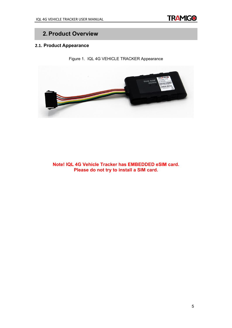

# **2.Product Overview**

#### <span id="page-4-0"></span>**2.1. Product Appearance**

Figure 1. IQL 4G VEHICLE TRACKER Appearance



**Note! IQL 4G Vehicle Tracker has EMBEDDED eSIM card. Please do not try to install a SIM card.**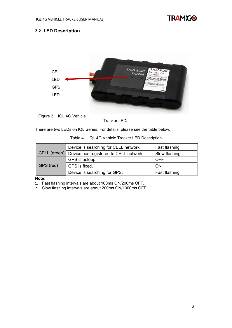

#### <span id="page-5-0"></span>**2.2. LED Description**



Figure 3. IQL 4G Vehicle

Tracker LEDs

There are two LEDs on IQL Series. For details, please see the table below.

|  | Table 4. IQL 4G Vehicle Tracker LED Description |
|--|-------------------------------------------------|
|--|-------------------------------------------------|

|              | Device is searching for CELL network.  | Fast flashing |
|--------------|----------------------------------------|---------------|
| CELL (green) | Device has registered to CELL network. | Slow flashing |
|              | GPS is asleep.                         | <b>OFF</b>    |
| GPS (red)    | GPS is fixed.                          | <b>ON</b>     |
|              | Device is searching for GPS.           | Fast flashing |

#### **Note:**

1. Fast flashing intervals are about 100ms ON/200ms OFF.

2. Slow flashing intervals are about 200ms ON/1000ms OFF.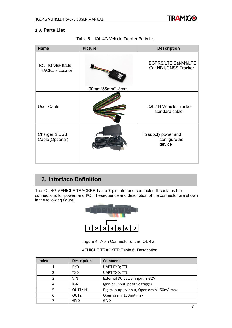

#### <span id="page-6-0"></span>**2.3. Parts List**

| <b>Name</b>                                     | <b>Picture</b> | <b>Description</b>                                  |
|-------------------------------------------------|----------------|-----------------------------------------------------|
| <b>IQL 4G VEHICLE</b><br><b>TRACKER Locator</b> | 90mm*55mm*13mm | <b>EGPRS/LTE Cat-M1/LTE</b><br>Cat-NB1/GNSS Tracker |
| <b>User Cable</b>                               |                | <b>IQL 4G Vehicle Tracker</b><br>standard cable     |
| Charger & USB<br>Cable(Optional)                |                | To supply power and<br>configurethe<br>device       |

Table 5. IQL 4G Vehicle Tracker Parts List

# **3. Interface Definition**

The IQL 4G VEHICLE TRACKER has a 7-pin interface connector. It contains the connections for power, and I/O. Thesequence and description of the connector are shown in the following figure:



Figure 4. 7-pin Connector of the IQL 4G

#### VEHICLE TRACKER Table 6. Description

| <b>Index</b> | <b>Description</b> | <b>Comment</b>                             |
|--------------|--------------------|--------------------------------------------|
|              | <b>RXD</b>         | <b>UART RXD; TTL</b>                       |
|              | TXD                | <b>UART TXD; TTL</b>                       |
| 3            | <b>VIN</b>         | External DC power input, 8-32V             |
| 4            | IGN                | Ignition input, positive trigger           |
|              | OUT1/IN1           | Digital output/input; Open drain,150mA max |
| 6            | OUT <sub>2</sub>   | Open drain, 150mA max                      |
|              | GND                | <b>GND</b>                                 |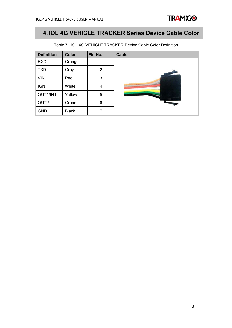

**TRAMIGO** 

| <b>Definition</b> | <b>Color</b> | Pin No.        | <b>Cable</b> |
|-------------------|--------------|----------------|--------------|
| <b>RXD</b>        | Orange       | 1              |              |
| <b>TXD</b>        | Gray         | $\overline{2}$ |              |
| <b>VIN</b>        | Red          | 3              |              |
| <b>IGN</b>        | White        | 4              |              |
| OUT1/IN1          | Yellow       | 5              |              |
| OUT <sub>2</sub>  | Green        | 6              |              |
| <b>GND</b>        | <b>Black</b> | 7              |              |

Table 7. IQL 4G VEHICLE TRACKER Device Cable Color Definition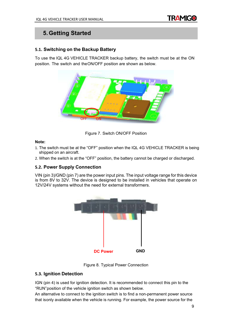

## **5.Getting Started**

#### <span id="page-8-0"></span>**5.1. Switching on the Backup Battery**

To use the IQL 4G VEHICLE TRACKER backup battery, the switch must be at the ON position. The switch and theON/OFF position are shown as below.



Figure 7. Switch ON/OFF Position

#### **Note:**

- 1. The switch must be at the "OFF" position when the IQL 4G VEHICLE TRACKER is being shipped on an aircraft.
- 2. When the switch is at the "OFF" position, the battery cannot be charged or discharged.

#### <span id="page-8-1"></span>**5.2. Power Supply Connection**

VIN (pin 3)/GND (pin 7) are the power input pins. The input voltage range for this device is from 8V to 32V. The device is designed to be installed in vehicles that operate on 12V/24V systems without the need for external transformers.



Figure 8. Typical Power Connection

#### <span id="page-8-2"></span>**5.3. Ignition Detection**

IGN (pin 4) is used for ignition detection. It is recommended to connect this pin to the "RUN"position of the vehicle ignition switch as shown below.

An alternative to connect to the ignition switch is to find a non-permanent power source that isonly available when the vehicle is running. For example, the power source for the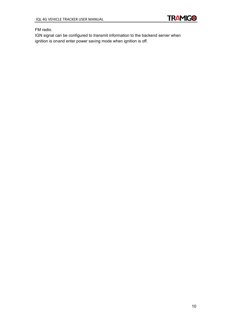

FM radio.

IGN signal can be configured to transmit information to the backend server when ignition is onand enter power saving mode when ignition is off.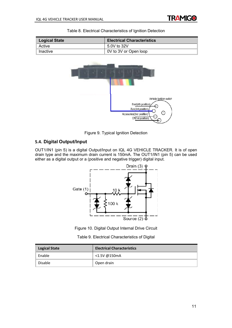

| <b>Logical State</b> | <b>Electrical Characteristics</b>                                                                    |
|----------------------|------------------------------------------------------------------------------------------------------|
| Active               | 5.0V to 32V                                                                                          |
| Inactive             | 0V to 3V or Open loop                                                                                |
|                      | Vehicle ignition switch<br>Start(4th position)<br>Run(3rd position)<br>⊙<br>Accesories(2nd position) |

#### Table 8. Electrical Characteristics of Ignition Detection



Off(1st position)

#### <span id="page-10-0"></span>**5.4. Digital Output/Input**

OUT1/IN1 (pin 5) is a digital Output/Input on IQL 4G VEHICLE TRACKER. It is of open drain type and the maximum drain current is 150mA. The OUT1/IN1 (pin 5) can be used either as a digital output or a (positive and negative trigger) digital input.



Figure 10. Digital Output Internal Drive Circuit

|  | Table 9. Electrical Characteristics of Digital |  |
|--|------------------------------------------------|--|
|  |                                                |  |

| <b>Logical State</b> | <b>Electrical Characteristics</b> |
|----------------------|-----------------------------------|
| Enable               | <1.5V @150mA                      |
| Disable              | Open drain                        |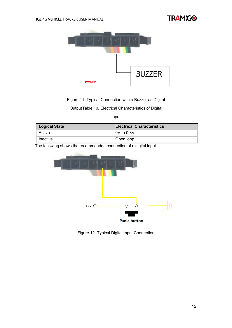

Figure 11. Typical Connection with a Buzzer as Digital

OutputTable 10. Electrical Characteristics of Digital

Input

| <b>Logical State</b> | <b>Electrical Characteristics</b> |
|----------------------|-----------------------------------|
| Active               | 0V to 0.8V                        |
| Inactive             | Open loop                         |

The following shows the recommended connection of a digital input.



Figure 12. Typical Digital Input Connection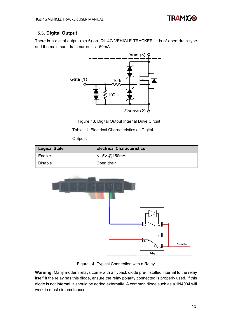

#### <span id="page-12-0"></span>**5.5. Digital Output**

There is a digital output (pin 6) on IQL 4G VEHICLE TRACKER. It is of open drain type and the maximum drain current is 150mA.



Figure 13. Digital Output Internal Drive Circuit

Table 11. Electrical Characteristics as Digital

**Outputs** 

| <b>Logical State</b> | <b>Electrical Characteristics</b> |
|----------------------|-----------------------------------|
| Enable               | <1.5V @150mA                      |
| Disable              | Open drain                        |



Figure 14. Typical Connection with a Relay

**Warning:** Many modern relays come with a flyback diode pre-installed internal to the relay itself.If the relay has this diode, ensure the relay polarity connected is properly used. If this diode is not internal, it should be added externally. A common diode such as a 1N4004 will work in most circumstances.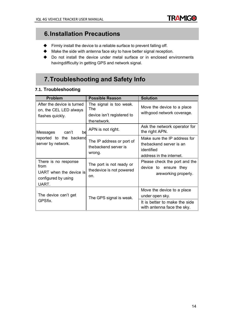

# **6.Installation Precautions**

- Firmly install the device to a reliable surface to prevent falling off.
- Make the side with antenna face sky to have better signal reception.
- Do not install the device under metal surface or in enclosed environments havingdifficulty in getting GPS and network signal.

# **7.Troubleshooting and Safety Info**

#### <span id="page-13-0"></span>**7.1. Troubleshooting**

| <b>Problem</b>                                                                          | <b>Possible Reason</b>                                                      | <b>Solution</b>                                                                                   |
|-----------------------------------------------------------------------------------------|-----------------------------------------------------------------------------|---------------------------------------------------------------------------------------------------|
| After the device is turned<br>on, the CEL LED always<br>flashes quickly.                | The signal is too weak.<br>The<br>device isn't registered to<br>thenetwork. | Move the device to a place<br>with good network coverage.                                         |
| Messages<br>can't<br>bd                                                                 | APN is not right.                                                           | Ask the network operator for<br>the right APN.                                                    |
| reported to the backend<br>server by network.                                           | The IP address or port of<br>the backend server is<br>wrong.                | Make sure the IP address for<br>thebackend server is an<br>identified<br>address in the internet. |
| There is no response<br>from<br>UART when the device is<br>configured by using<br>UART. | The port is not ready or<br>the device is not powered<br>on.                | Please check the port and the<br>device to ensure they<br>areworking properly.                    |
| The device can't get<br>GPSfix.                                                         | The GPS signal is weak.                                                     | Move the device to a place<br>under open sky.<br>It is better to make the side                    |
|                                                                                         |                                                                             | with antenna face the sky.                                                                        |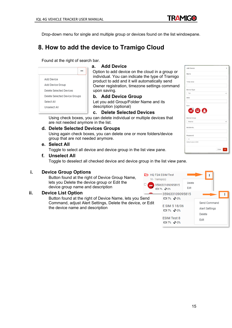**TRAMIGO** 

**Add Device** 

Drop-down menu for single and multiple group or devices found on the list windowpane.

# <span id="page-14-0"></span>**8. How to add the device to Tramigo Cloud**

Found at the right of search bar.

| Add Device                    |  |
|-------------------------------|--|
| Add Device Group              |  |
| Delete Selected Devices       |  |
| Delete Selected Device Groups |  |
| Select All                    |  |
| Unselect All                  |  |
|                               |  |

#### <span id="page-14-1"></span>**a. Add Device**

Option to add device on the cloud in a group or individual. You can indicate the type of Tramigo product to add and it will automatically send Owner registration, timezone settings command upon saving.

#### <span id="page-14-2"></span>**b. Add Device Group**

Let you add Group/Folder Name and its description (optional)

#### <span id="page-14-3"></span>**c. Delete Selected Devices**

Using check boxes, you can delete individual or multiple devices that are not needed anymore in the list.

#### <span id="page-14-4"></span>**d. Delete Selected Devices Groups**

Using again check boxes, you can delete one or more folders/device group that are not needed anymore.

#### <span id="page-14-5"></span>**e. Select All**

Toggle to select all device and device group in the list view pane.

#### <span id="page-14-6"></span>**f. Unselect All**

Toggle to deselect all checked device and device group in the list view pane.

#### <span id="page-14-7"></span>**i. Device Group Options**

Button found at the right of Device Group Name, lets you Delete the device group or Edit the device group name and description

#### <span id="page-14-8"></span>**ii. Device List Option**

Button found at the right of Device Name, lets you Send Command, adjust Alert Settings, Delete the device, or Edit the device name and description



| 1100 PC1100           |             |
|-----------------------|-------------|
| Name                  |             |
| Time Zone             |             |
|                       |             |
| Device Type           |             |
| <b>T24</b>            |             |
| <b>IMEI</b>           |             |
| Icon<br>600           |             |
| Device Group          |             |
| Ungroup               |             |
| Mobile No.            |             |
| Password              |             |
|                       |             |
| Default value is 0000 |             |
|                       | Close<br>OK |